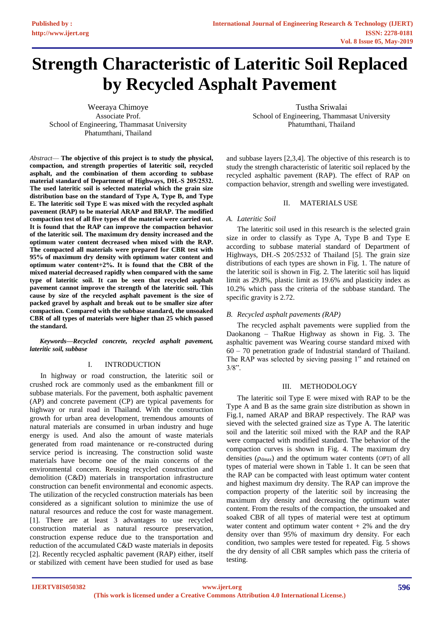# **Strength Characteristic of Lateritic Soil Replaced by Recycled Asphalt Pavement**

Weeraya Chimoye Associate Prof. School of Engineering, Thammasat University Phatumthani, Thailand

*Abstract*— **The objective of this project is to study the physical, compaction, and strength properties of lateritic soil, recycled asphalt, and the combination of them according to subbase material standard of Department of Highways, DH.-S 205/2532. The used lateritic soil is selected material which the grain size distribution base on the standard of Type A, Type B, and Type E. The lateritic soil Type E was mixed with the recycled asphalt pavement (RAP) to be material ARAP and BRAP. The modified compaction test of all five types of the material were carried out. It is found that the RAP can improve the compaction behavior of the lateritic soil. The maximum dry density increased and the optimum water content decreased when mixed with the RAP. The compacted all materials were prepared for CBR test with 95% of maximum dry density with optimum water content and optimum water content+2%. It is found that the CBR of the mixed material decreased rapidly when compared with the same type of lateritic soil. It can be seen that recycled asphalt pavement cannot improve the strength of the lateritic soil. This cause by size of the recycled asphalt pavement is the size of packed gravel by asphalt and break out to be smaller size after compaction. Compared with the subbase standard, the unsoaked CBR of all types of materials were higher than 25 which passed the standard.**

*Keywords—Recycled concrete, recycled asphalt pavement, lateritic soil, subbase* 

## I. INTRODUCTION

In highway or road construction, the lateritic soil or crushed rock are commonly used as the embankment fill or subbase materials. For the pavement, both asphaltic pavement (AP) and concrete pavement (CP) are typical pavements for highway or rural road in Thailand. With the construction growth for urban area development, tremendous amounts of natural materials are consumed in urban industry and huge energy is used. And also the amount of waste materials generated from road maintenance or re-constructed during service period is increasing. The construction solid waste materials have become one of the main concerns of the environmental concern. Reusing recycled construction and demolition (C&D) materials in transportation infrastructure construction can benefit environmental and economic aspects. The utilization of the recycled construction materials has been considered as a significant solution to minimize the use of natural resources and reduce the cost for waste management. [1]. There are at least 3 advantages to use recycled construction material as natural resource preservation, construction expense reduce due to the transportation and reduction of the accumulated C&D waste materials in deposits [2]. Recently recycled asphaltic pavement (RAP) either, itself or stabilized with cement have been studied for used as base

Tustha Sriwalai School of Engineering, Thammasat University Phatumthani, Thailand

and subbase layers [2,3,4]. The objective of this research is to study the strength characteristic of lateritic soil replaced by the recycled asphaltic pavement (RAP). The effect of RAP on compaction behavior, strength and swelling were investigated.

## II. MATERIALS USE

# *A. Lateritic Soil*

The lateritic soil used in this research is the selected grain size in order to classify as Type A, Type B and Type E according to subbase material standard of Department of Highways, DH.-S 205/2532 of Thailand [5]. The grain size distributions of each types are shown in Fig. 1. The nature of the lateritic soil is shown in Fig. 2. The lateritic soil has liquid limit as 29.8%, plastic limit as 19.6% and plasticity index as 10.2% which pass the criteria of the subbase standard. The specific gravity is 2.72.

# *B. Recycled asphalt pavements (RAP)*

The recycled asphalt pavements were supplied from the Daokanong – ThaRue Highway as shown in Fig. 3. The asphaltic pavement was Wearing course standard mixed with 60 – 70 penetration grade of Industrial standard of Thailand. The RAP was selected by sieving passing 1" and retained on  $3/8$ ".

# III. METHODOLOGY

The lateritic soil Type E were mixed with RAP to be the Type A and B as the same grain size distribution as shown in Fig.1, named ARAP and BRAP respectively. The RAP was sieved with the selected grained size as Type A. The lateritic soil and the lateritic soil mixed with the RAP and the RAP were compacted with modified standard. The behavior of the compaction curves is shown in Fig. 4. The maximum dry densities  $(\rho_{dmax})$  and the optimum water contents (OPT) of all types of material were shown in Table 1. It can be seen that the RAP can be compacted with least optimum water content and highest maximum dry density. The RAP can improve the compaction property of the lateritic soil by increasing the maximum dry density and decreasing the optimum water content. From the results of the compaction, the unsoaked and soaked CBR of all types of material were test at optimum water content and optimum water content  $+2\%$  and the dry density over than 95% of maximum dry density. For each condition, two samples were tested for repeated. Fig. 5 shows the dry density of all CBR samples which pass the criteria of testing.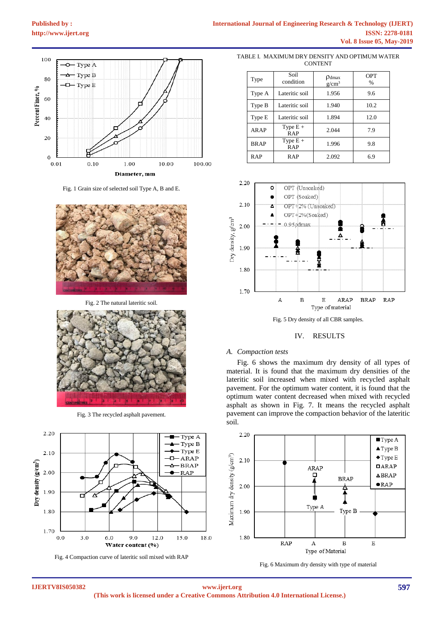

Fig. 1 Grain size of selected soil Type A, B and E.



Fig. 2 The natural lateritic soil.



Fig. 3 The recycled asphalt pavement.



Fig. 4 Compaction curve of lateritic soil mixed with RAP

TABLE I. MAXIMUM DRY DENSITY AND OPTIMUM WATER **CONTENT** 

| Type        | Soil<br>condition        | $\rho_{\text{dmax}}$<br>$g/cm^3$ | <b>OPT</b><br>$\frac{0}{0}$ |
|-------------|--------------------------|----------------------------------|-----------------------------|
| Type A      | Lateritic soil           | 1.956                            | 9.6                         |
| Type B      | Lateritic soil           | 1.940                            | 10.2                        |
| Type E      | Lateritic soil           | 1.894                            | 12.0                        |
| <b>ARAP</b> | Type $E +$<br><b>RAP</b> | 2.044                            | 7.9                         |
| <b>BRAP</b> | Type $E +$<br><b>RAP</b> | 1.996                            | 9.8                         |
| <b>RAP</b>  | <b>RAP</b>               | 2.092                            | 6.9                         |



Fig. 5 Dry density of all CBR samples.

#### IV. RESULTS

#### *A. Compaction tests*

Fig. 6 shows the maximum dry density of all types of material. It is found that the maximum dry densities of the lateritic soil increased when mixed with recycled asphalt pavement. For the optimum water content, it is found that the optimum water content decreased when mixed with recycled asphalt as shown in Fig. 7. It means the recycled asphalt pavement can improve the compaction behavior of the lateritic soil.



Fig. 6 Maximum dry density with type of material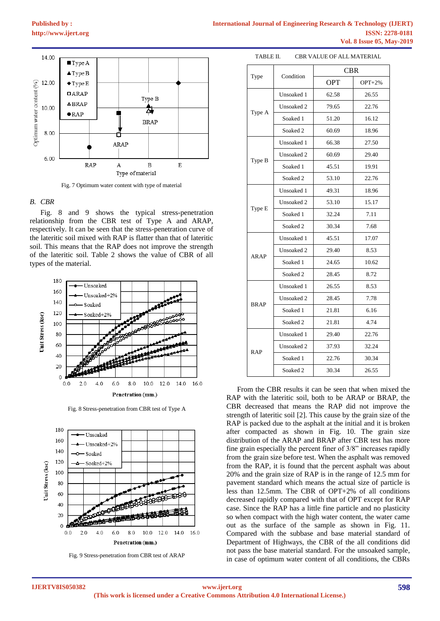

Fig. 7 Optimum water content with type of material

#### *B. CBR*

Fig. 8 and 9 shows the typical stress-penetration relationship from the CBR test of Type A and ARAP, respectively. It can be seen that the stress-penetration curve of the lateritic soil mixed with RAP is flatter than that of lateritic soil. This means that the RAP does not improve the strength of the lateritic soil. Table 2 shows the value of CBR of all types of the material.



Fig. 8 Stress-penetration from CBR test of Type A



Fig. 9 Stress-penetration from CBR test of ARAP

TABLE II. CBR VALUE OF ALL MATERIAL

| Type        | Condition           | <b>CBR</b> |           |
|-------------|---------------------|------------|-----------|
|             |                     | <b>OPT</b> | $OPT+2\%$ |
| Type A      | Unsoaked 1          | 62.58      | 26.55     |
|             | Unsoaked 2          | 79.65      | 22.76     |
|             | Soaked 1            | 51.20      | 16.12     |
|             | Soaked <sub>2</sub> | 60.69      | 18.96     |
| Type B      | Unsoaked 1          | 66.38      | 27.50     |
|             | Unsoaked 2          | 60.69      | 29.40     |
|             | Soaked 1            | 45.51      | 19.91     |
|             | Soaked 2            | 53.10      | 22.76     |
|             | Unsoaked 1          | 49.31      | 18.96     |
|             | Unsoaked 2          | 53.10      | 15.17     |
| Type E      | Soaked 1            | 32.24      | 7.11      |
|             | Soaked <sub>2</sub> | 30.34      | 7.68      |
|             | Unsoaked 1          | 45.51      | 17.07     |
|             | Unsoaked 2          | 29.40      | 8.53      |
| <b>ARAP</b> | Soaked 1            | 24.65      | 10.62     |
|             | Soaked <sub>2</sub> | 28.45      | 8.72      |
|             | Unsoaked 1          | 26.55      | 8.53      |
|             | Unsoaked 2          | 28.45      | 7.78      |
| <b>BRAP</b> | Soaked 1            | 21.81      | 6.16      |
|             | Soaked <sub>2</sub> | 21.81      | 4.74      |
| <b>RAP</b>  | Unsoaked 1          | 29.40      | 22.76     |
|             | Unsoaked 2          | 37.93      | 32.24     |
|             | Soaked 1            | 22.76      | 30.34     |
|             | Soaked <sub>2</sub> | 30.34      | 26.55     |

From the CBR results it can be seen that when mixed the RAP with the lateritic soil, both to be ARAP or BRAP, the CBR decreased that means the RAP did not improve the strength of lateritic soil [2]. This cause by the grain size of the RAP is packed due to the asphalt at the initial and it is broken after compacted as shown in Fig. 10. The grain size distribution of the ARAP and BRAP after CBR test has more fine grain especially the percent finer of 3/8" increases rapidly from the grain size before test. When the asphalt was removed from the RAP, it is found that the percent asphalt was about 20% and the grain size of RAP is in the range of 12.5 mm for pavement standard which means the actual size of particle is less than 12.5mm. The CBR of OPT+2% of all conditions decreased rapidly compared with that of OPT except for RAP case. Since the RAP has a little fine particle and no plasticity so when compact with the high water content, the water came out as the surface of the sample as shown in Fig. 11. Compared with the subbase and base material standard of Department of Highways, the CBR of the all conditions did not pass the base material standard. For the unsoaked sample, in case of optimum water content of all conditions, the CBRs